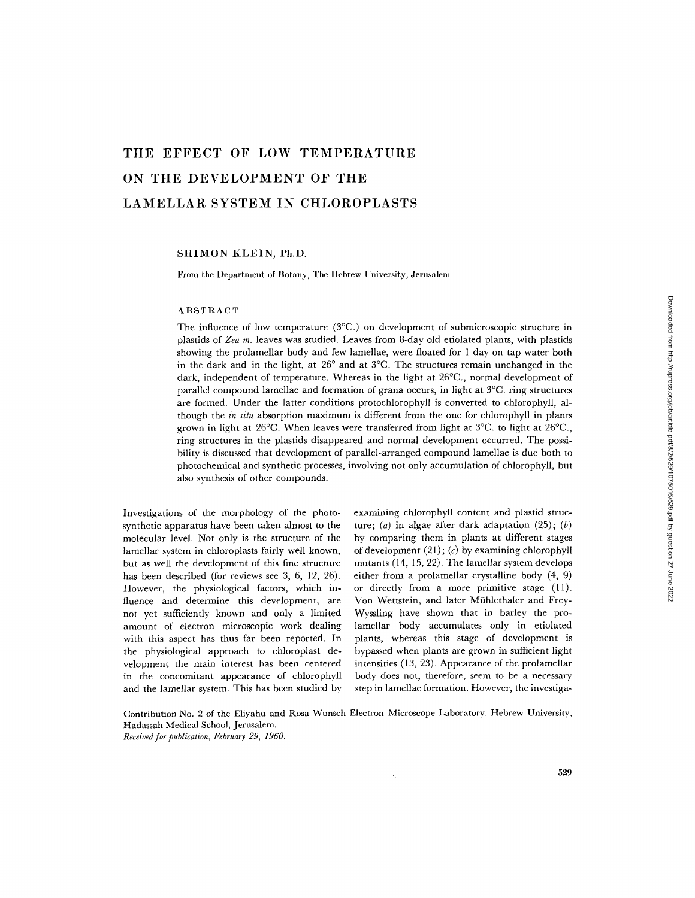# **THE EFFECT OF LOW TEMPERATURE ON THE DEVELOPMENT OF THE LAMELLAR SYSTEM IN CHLOROPLASTS**

### SHIMON KLEIN, Ph.D.

From the Department of Botany, The Hebrew University, Jerusalem

# **ABSTRACT**

The influence of low temperature (3°C.) on development of submicroscopic structure in plastids of *Zea m.* leaves was studied. Leaves from 8-day old etiolated plants, with plastids showing the prolamellar body and few lamellae, were floated for 1 day on tap water both in the dark and in the light, at  $26^{\circ}$  and at  $3^{\circ}$ C. The structures remain unchanged in the dark, independent of temperature. Whereas in the light at 26°C., normal development of parallel compound lamellae and formation of grana occurs, in light at 3°C. ring structures are formed. Under the latter conditions protochlorophyll is converted to chlorophyll, although the *in situ* absorption maximum is different from the one for chlorophyll in plants grown in light at 26 $\textdegree$ C. When leaves were transferred from light at  $3\textdegree$ C. to light at  $26\textdegree$ C., ring structures in the plastids disappeared and normal development occurred. The possibility is discussed that development of parallel-arranged compound lamellae is due both to photochemical and synthetic processes, involving not only accumulation of chlorophyll, but also synthesis of other compounds.

Investigations of the morphology of the photosynthetic apparatus have been taken almost to the molecular level. Not only is the structure of the lamellar system in chloroplasts fairly well known, but as well the development of this fine structure has been described (for reviews see 3, 6, 12, 26). However, the physiological factors, which influence and determine this development, are not yet sufficiently known and only a limited amount of electron microscopic work dealing with this aspect has thus far been reported. In the physiological approach to chloroplast development the main interest has been centered in the concomitant appearance of chlorophyll and the lamellar system. This has been studied by examining chlorophyll content and plastid structure; (a) in algae after dark adaptation  $(25)$ ; (b) by comparing them in plants at different stages of development  $(21)$ ;  $(c)$  by examining chlorophyll mutants (14, 15, 22). The lamellar system develops either from a prolamellar crystalline body (4, 9) or directly from a more primitive stage (11). Von Wettstein, and later Mühlethaler and Frey-Wyssling have shown that in barley the prolamellar body accumulates only in etiolated plants, whereas this stage of development is bypassed when plants are grown in sufficient light intensities (13, 23). Appearance of the prolamellar body does not, therefore, seem to be a necessary step in lamellae formation. However, the investiga-

Contribution No. 2 of the Eliyahu and Rosa Wunsch Electron Microscope Laboratory, Hebrew University, Hadassah Medical School, Jerusalem. *Received for publication, February 29, 1960.*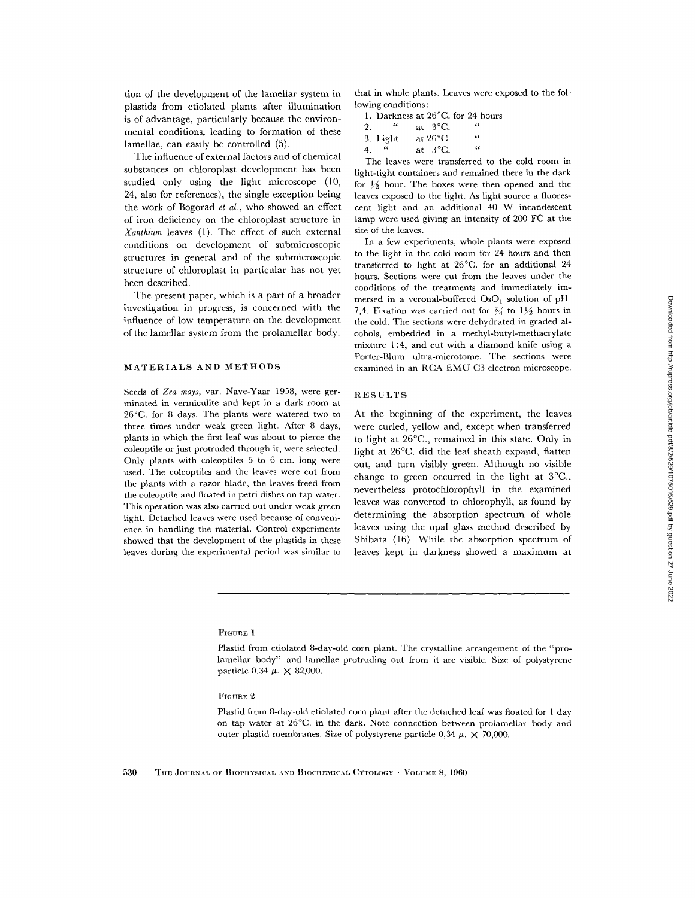tion of the development of the lamellar system in plastids from etiolated plants after illumination is of advantage, particularly because the environmental conditions, leading to formation of these lamellae, can easily be controlled (5).

The influence of external factors and of chemical substances on chloroplast development has been studied only using the light microscope (10, 24, also for references), the single exception being the work of Bogorad *et al.,* who showed an effect of iron deficiency on the chloroplast structure in *Xanthium* leaves (1). The effect of such external conditions on development of submicroscopic structures in general and of the submicroscopic structure of chloroplast in particular has not yet been described.

The present paper, which is a part of a broader investigation in progress, is concerned with the ;nfluence of low temperature on the development of the lamellar system from the prolamellar body.

# MATERIALS AND METHODS

Seeds of *Zea mays,* var. Nave-Yaar 1958, were germinated in vermiculite and kept in a dark room at 26°C. for 8 days. The plants were watered two to three times under weak green light. After 8 days, plants in which the first leaf was about to pierce the coleoptile or just protruded through it, were selected. Only plants with coleoptiles 5 to 6 cm. long were used. The coleoptiles and the leaves were cut from the plants with a razor blade, the leaves freed from the coleoptile and floated in petri dishes on tap water. This operation was also carried out under weak green light. Detached leaves were used because of convenience in handling the material. Control experiments showed that the development of the plastids in these leaves during the experimental period was similar to that in whole plants. Leaves were exposed to the following conditions :

- 1. Darkness at  $26^{\circ}$ C. for 24 hours<br>2. " at  $3^{\circ}$ C. "
- at  $3^{\circ}$ C. "<br>at  $26^{\circ}$ C. "
- 3. Light at  $26^{\circ}$ C. " *4. "* at 3°C. *"*
- 

The leaves were transferred to the cold room in light-tight containers and remained there in the dark for  $\frac{1}{2}$  hour. The boxes were then opened and the leaves exposed to the light. As light source a fluorescent light and an additional 40 W incandescent lamp were used giving an intensity of 200 FC at the site of the leaves.

In a few experiments, whole plants were exposed to the light in the cold room for 24 hours and then transferred to light at 26°C. for an additional 24 hours. Sections were cut from the leaves under the conditions of the treatments and immediately immersed in a veronal-buffered OsO<sub>4</sub> solution of pH. 7,4. Fixation was carried out for  $\frac{3}{4}$  to  $1\frac{1}{2}$  hours in the cold. The sections were dehydrated in graded alcohols, embedded in a methyl-butyl-methacrylate mixture 1:4, and cut with a diamond knife using a Porter-Blum ultra-microtome. The sections were examined in an RCA EMU C3 electron microscope.

### RESULTS

At the beginning of the experiment, the leaves were curled, yellow and, except when transferred to light at 26°C., remained in this state. Only in light at 26°C. did the leaf sheath expand, flatten out, and turn visibly green. Although no visible change to green occurred in the light at 3°C., nevertheless protochlorophyll in the examined leaves was converted to chlorophyll, as found by determining the absorption spectrum of whole leaves using the opal glass method described by Shibata (16). While the absorption spectrum of leaves kept in darkness showed a maximum at

### FIGURE 1

Plastid from ctiolated 8-day-old corn plant. The crystalline arrangement of the "prolamellar body" and lamdlae protruding out from it are visible. Size of polystyrene particle  $0,34 \mu. \times 82,000.$ 

#### FIGURE 2

Plastid from 8-day-old etiolated corn plant after the detached leaf was floated for I day on tap water at 26°C, in the dark. Note connection between prolamdlar body and outer plastid membranes. Size of polystyrene particle 0,34  $\mu$ .  $\times$  70,000.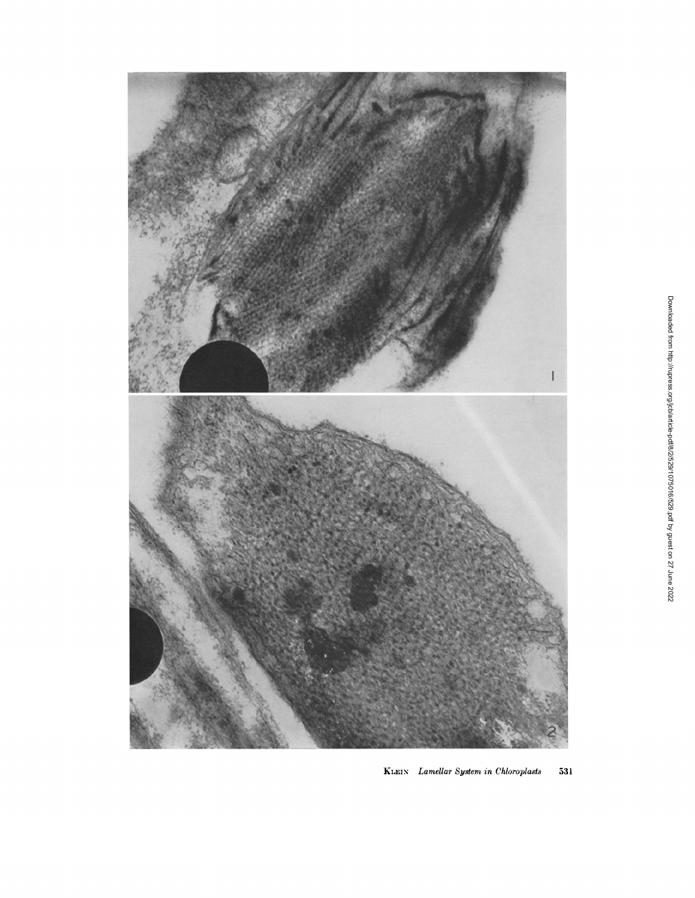

KL~Ix *Lamellar System in Chloroplasts* 531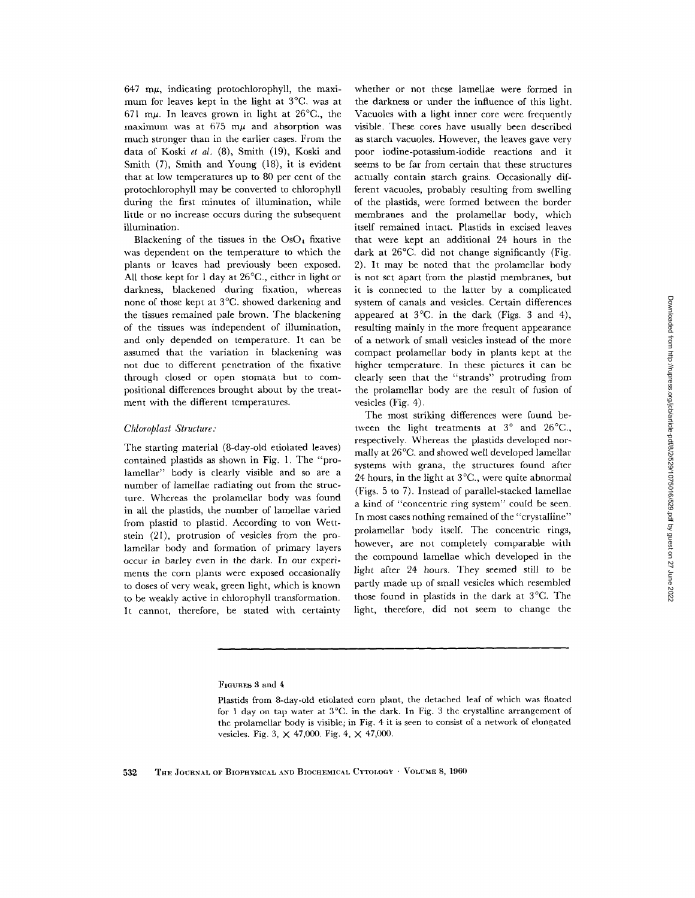647 m $\mu$ , indicating protochlorophyll, the maximum for leaves kept in the light at 3°C. was at 671 m $\mu$ . In leaves grown in light at 26<sup>o</sup>C., the maximum was at  $675~\text{m}\mu$  and absorption was much stronger than in the earlier cases. From the data of Koski *et al.* (8), Smith (19), Koski and Smith (7), Smith and Young (18), it is evident that at low temperatures up to 80 per cent of the protochlorophyll may be converted to chlorophyll during the first minutes of illumination, while little or no increase occurs during the subsequent illumination.

Blackening of the tissues in the  $OsO<sub>4</sub>$  fixative was dependent on the temperature to which the plants or leaves had previously been exposed. All those kept for 1 day at 26°C., either in light or darkness, blackened during fixation, whereas none of those kept at 3°C. showed darkening and the tissues remained pale brown. The blackening of the tissues was independent of illumination, and only depended on temperature. It can be assumed that the variation in blackening was not due to different penetration of the fixative through closed or open stomata but to compositional differences brought about by the treatment with the different temperatures.

## *Chlor@last Structure."*

The starting material (8-day-old etiolated leaves) contained plastids as shown in Fig. 1. The "prolamellar" body is clearly visible and so are a number of lamellae radiating out from the structure. Whereas the prolamellar body was found in all the plastids, the number of lamellae varied from plastid to plastid. According to von Wettstein (21), protrusion of vesicles from the prolamellar body and formation of primary layers occur in barley even in the dark. In our experiments the corn plants were exposed occasionally to doses of very weak, green light, which is known to be weakly active in chlorophyll transformation. It cannot, therefore, be stated with certainty

whether or not these lamellae were formed in the darkness or under the influence of this light. Vacuoles with a light inner core were frequently visible. These cores have usually been described as starch vacuoles. However, the leaves gave very poor iodine-potassium-iodide reactions and it seems to be far from certain that these structures actually contain starch grains. Occasionally different vacuoles, probably resulting from swelling of the plastids, were formed between the border membranes and the prolamellar body, which itself remained intact. Plastids in excised leaves that were kept an additional 24 hours in the dark at 26°C. did not change significantly (Fig. 2). It may be noted that the prolamellar body is not set apart from the plastid membranes, but it is connected to the latter by a complicated system of canals and vesicles. Certain differences appeared at 3°C. in the dark (Figs. 3 and 4), resulting mainly in the more frequent appearance of a network of small vesicles instead of the more compact prolamellar body in plants kept at the higher temperature. In these pictures it can be clearly seen that the "strands" protruding from the prolamellar body are the result of fusion of vesicles (Fig. 4).

The most striking differences were found between the light treatments at  $3^\circ$  and  $26^\circ$ C., respectively. Whereas the plastids developed normally at 26 °C. and showed well developed lamellar systems with grana, the structures found after 24 hours, in the light at 3°C., were quite abnormal (Figs. 5 to 7). Instead of parallel-stacked lamellae a kind of "concentric ring system" could be seen. In most cases nothing remained of the "crystalline" prolamellar body itself. The concentric rings, however, are not completely comparable with the compound lamellae which developed in the light after 24 hours. They seemed still to be partly made up of small vesicles which resembled those found in plastids in the dark at 3°C. The light, therefore, did not seem to change the

#### FIGURES 3 and 4

Plastids from 8-day-old etiolated corn plant, the detached leaf of which was floated for 1 day on tap water at 3°C. in the dark. In Fig. 3 the crystalline arrangement of the prolamellar body is visible; in Fig. 4 it is seen to consist of a network of elongated vesicles. Fig. 3,  $\times$  47,000. Fig. 4,  $\times$  47,000.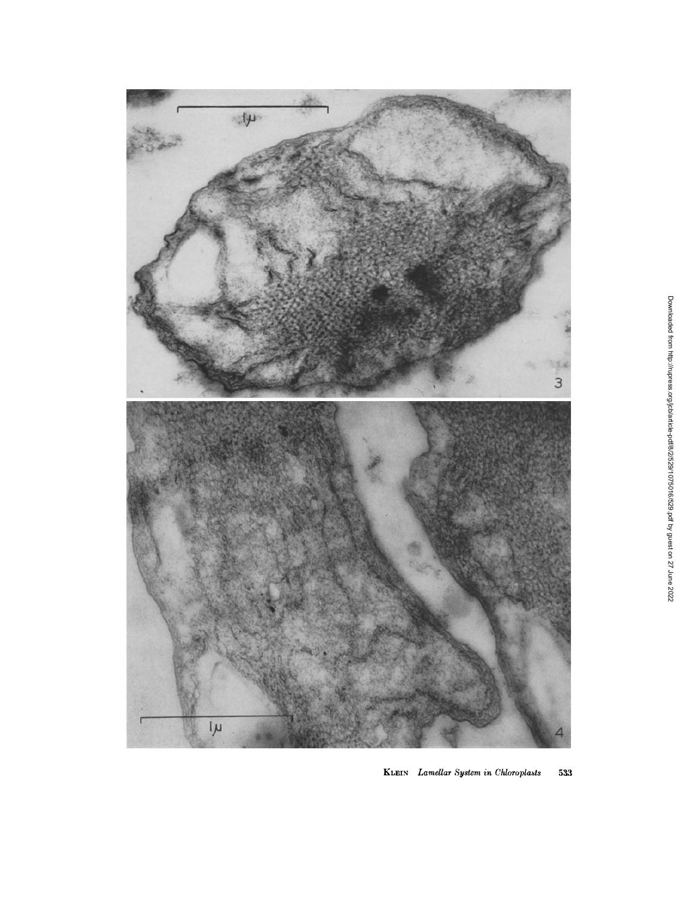

*KLEI.~ Lamellar System in Chloroplasts* 533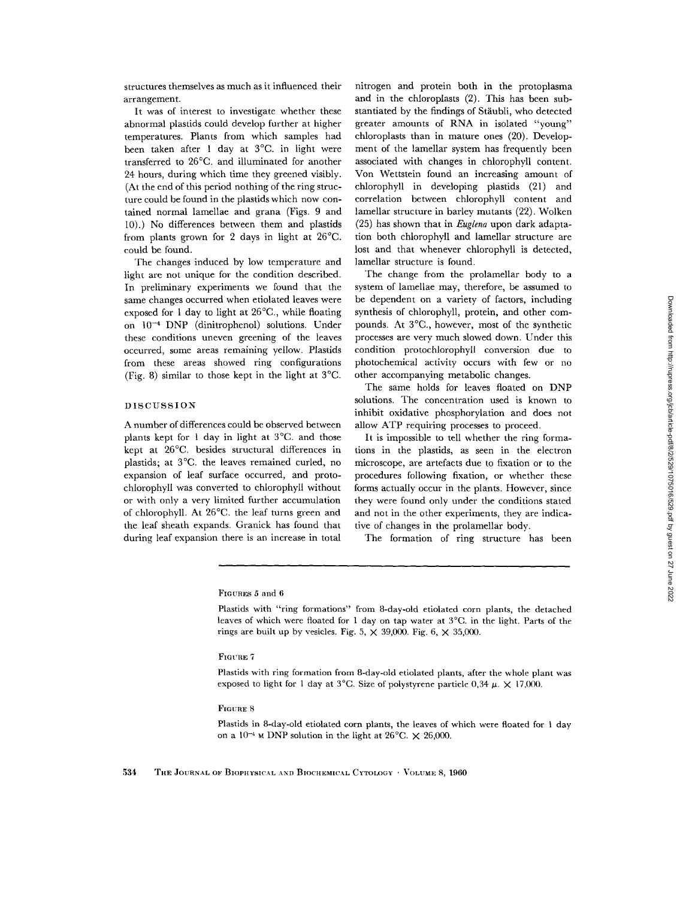structures themselves as much as it influenced their arrangement.

It was of interest to investigate whether these abnormal plastids could develop further at higher temperatures. Plants from which samples had been taken after 1 day at 3°C. in light were transferred to 26°C. and illuminated for another 24 hours, during which time they greened visibly. (At the end of this period nothing of the ring structure could be found in the plastids which now contained normal lamellae and grana (Figs. 9 and I0).) No differences between them and plastids from plants grown for 2 days in light at 26°C. could be found.

The changes induced by low temperature and light are not unique for the condition described. In preliminary experiments we found that the same changes occurred when etiolated leaves were exposed for 1 day to light at 26°C., while floating on  $10^{-4}$  DNP (dinitrophenol) solutions. Under these conditions uneven greening of the leaves occurred, some areas remaining yellow. Plastids from these areas showed ring configurations (Fig. 8) similar to those kept in the light at 3°C.

# DISCUSSION

A number of differences could be observed between plants kept for l day in light at 3°C. and those kept at 26°C. besides structural differences in plastids; at 3°C. the leaves remained curled, no expansion of leaf surface occurred, and protochlorophyll was converted to chlorophyll without or with only a very limited further accumulation of chlorophyll. At 26°C. the leaf turns green and the leaf sheath expands. Granick has found that during leaf expansion there is an increase in total

nitrogen and protein both in the protoplasma and in the chloroplasts (2). This has been substantiated by the findings of Stäubli, who detected greater amounts of RNA in isolated "young" chloroplasts than in mature ones (20). Development of the lamellar system has frequently been associated with changes in chlorophyll content. Von Wettstein found an increasing amount of chlorophyll in developing plastids (21) and correlation between chlorophyll content and lamellar structure in barley mutants (22). Wolken (25) has shown that in *Euglena* upon dark adaptation both chlorophyll and lamellar structure are lost and that whenever chlorophyll is detected, lamellar structure is found.

The change from the prolamellar body to a system of lamellae may, therefore, be assumed to be dependent on a variety of factors, including synthesis of chlorophyll, protein, and other compounds. At 3°C., however, most of the synthetic processes are very much slowed down. Under this condition protochlorophyll conversion due to photochemical activity occurs with few or no other accompanying metabolic changes.

The same holds for leaves floated on DNP solutions. The concentration used is known to inhibit oxidative phosphorylation and does not allow ATP requiring processes to proceed.

It is impossible to tell whether the ring formations in the plastids, as seen in the electron microscope, are artefacts due to fixation or to the procedures following fixation, or whether these forms actually occur in the plants. However, since they were found only under the conditions stated and not in the other experiments, they are indicative of changes in the prolamellar body.

The formation of ring structure has been

Plastids with "ring formations" from 8-day-old etiolated corn plants, the detached leaves of which were floated for 1 day on tap water at 3°C. in the light. Parts of the rings are built up by vesicles. Fig. 5,  $\times$  39,000. Fig. 6,  $\times$  35,000.

FIGURE 7

Plastids with ring formation from 8-day-old etiolated plants, after the whole plant was exposed to light for 1 day at 3°C. Size of polystyrene particle 0,34  $\mu$ .  $\times$  17,000.

#### FIGURE 8

Plastids in 8-day-old etiolated corn plants, the leaves of which were floated for l day on a 10<sup>-4</sup>  $\text{M}$  DNP solution in the light at 26°C.  $\times$  26,000.

FIGURES 5 and 6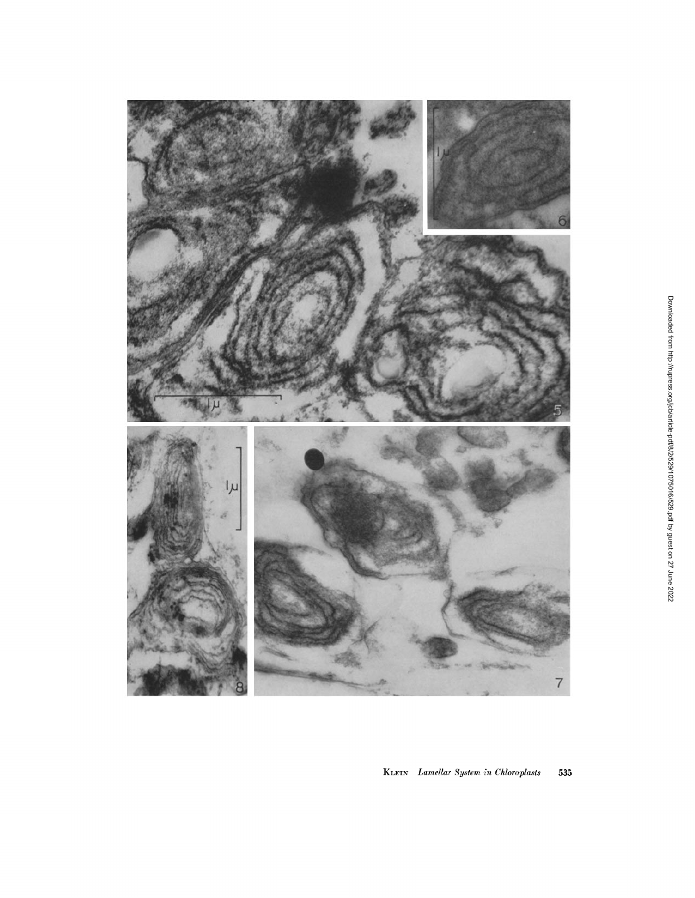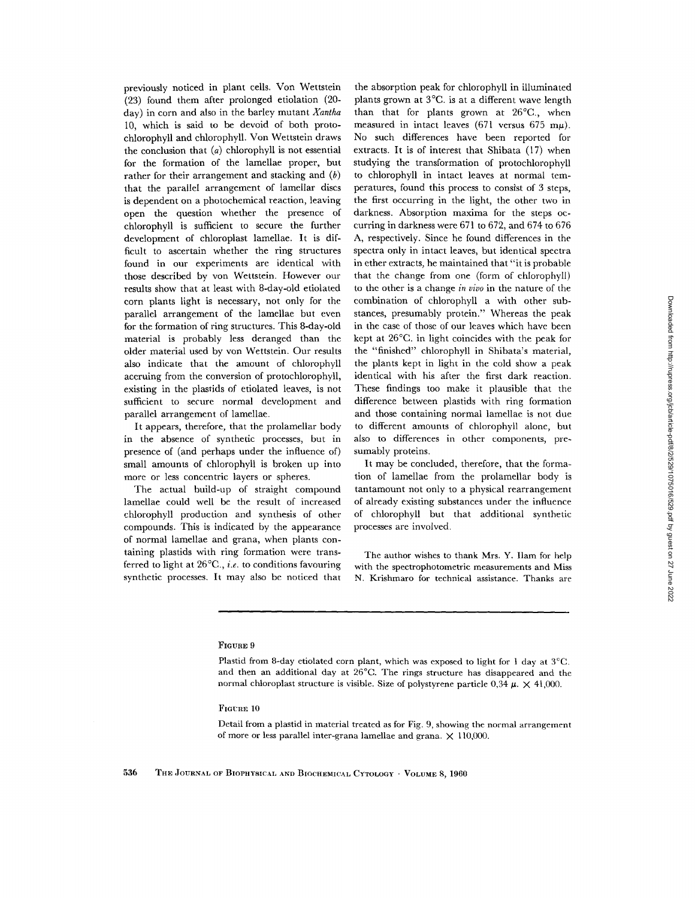previously noticed in plant cells. Von Wettstein (23) found them after prolonged etiolation (20 day) in corn and also in the barley mutant *Xantha*  10, which is said to be devoid of both protochlorophyll and chlorophyll. Von Wettstein draws the conclusion that  $(a)$  chlorophyll is not essential for the formation of the lamellae proper, but rather for their arrangement and stacking and  $(b)$ that the parallel arrangement of lamellar discs is dependent on a photochemical reaction, leaving open the question whether the presence of chlorophyll is sufficient to secure the further development of chloroplast lamellae. It is difficult to ascertain whether the ring structures found in our experiments are identical with those described by yon Wettstein. However our results show that at least with 8-day-old etiolated corn plants light is necessary, not only for the parallel arrangement of the lamellae but even for the formation of ring structures. This 8-day-old material is probably less deranged than the older material used by yon Wettstein. Our results also indicate that the amount of chlorophyll accruing from the conversion of protochlorophyll, existing in the plastids of etiolated leaves, is not sufficient to secure normal development and parallel arrangement of lamellae.

It appears, therefore, that the prolamellar body in the absence of synthetic processes, but in presence of (and perhaps under the influence of) small amounts of chlorophyll is broken up into more or less concentric layers or spheres.

The actual build-up of straight compound lamellae could well be the result of increased chlorophyll production and synthesis of other compounds. This is indicated by the appearance of normal lamellae and grana, when plants containing plastids with ring formation were transferred to light at 26°C., *i.e.* to conditions favouring synthetic processes. It may also be noticed that

the absorption peak for chlorophyll in illuminated plants grown at 3°C. is at a different wave length than that for plants grown at 26°C., when measured in intact leaves (671 versus 675 m $\mu$ ). No such differences have been reported for extracts. It is of interest that Shibata (17) when studying the transformation of protochlorophyll to chlorophyll in intact leaves at normal temperatures, found this process to consist of 3 steps, the first occurring in the light, the other two in darkness. Absorption maxima for the steps occurring in darkness were 671 to 672, and 674 to 676 A, respectively. Since he found differences in the spectra only in intact leaves, but identical spectra in ether extracts, he maintained that "it is probable that the change from one (form of chlorophyll) to the other is a change *in vivo* in the nature of the combination of chlorophyll a with other substances, presumably protein." Whereas the peak in the case of those of our leaves which have been kept at 26°C. in light coincides with the peak for the "finished" chlorophyll in Shibata's material, the plants kept in light in the cold show a peak identical with his after the first dark reaction. These findings too make it plausible that the difference between plastids with ring formation and those containing normal lamellae is not due to different amounts of chlorophyll alone, but also to differences in other components, presumably proteins.

It may be concluded, therefore, that the formation of lamellae from the prolamellar body is tantamount not only to a physical rearrangement of already existing substances under the influence of chlorophyll but that additional synthetic processes are involved.

The author wishes to thank Mrs. Y. Ilam for help with the spectrophotometric measurements and Miss N. Krishmaro for technical assistance. Thanks are

#### **FIGURE 9**

Plastid from 8-day etiolated corn plant, which was exposed to light for 1 day at 3°C. and then an additional day at  $26^{\circ}$ C. The rings structure has disappeared and the normal chloroplast structure is visible. Size of polystyrene particle 0,34  $\mu$ .  $\times$  41,000.

#### FIGURE 10

Detail from a plastid in material treated as for Fig. 9, showing the normal arrangement of more or less parallel inter-grana lamellae and grana.  $\times$  110,000.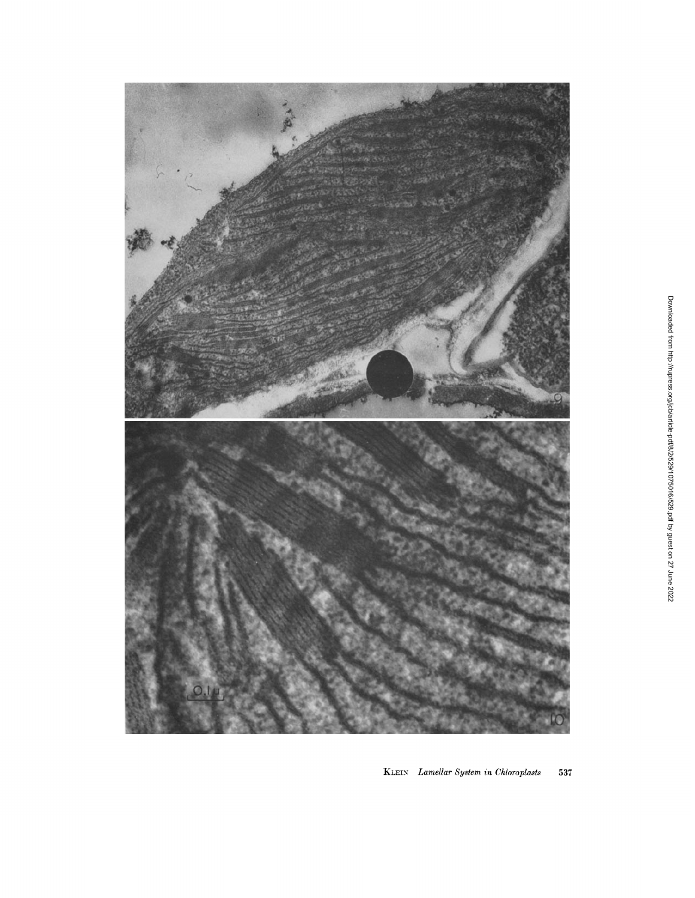

KLEIN *Lamellar System in Chloroplasts* 537